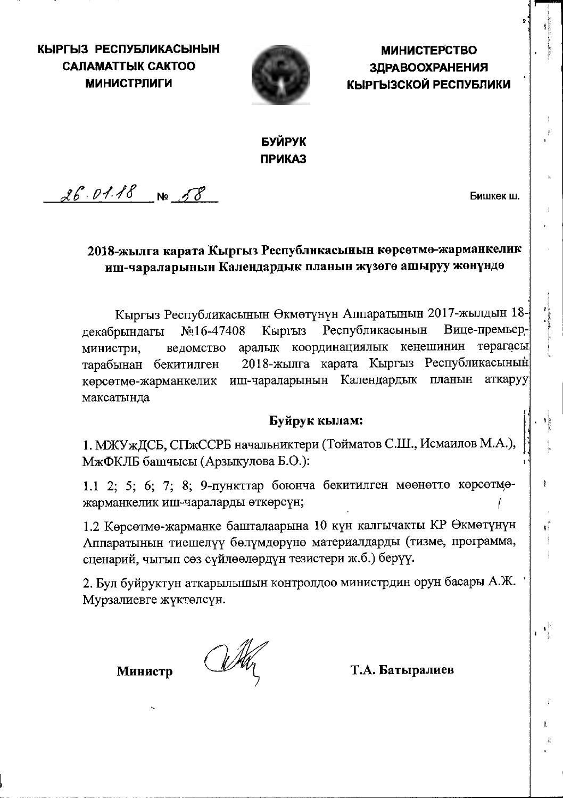КЫРГЫЗ РЕСПУБЛИКАСЫНЫН **САЛАМАТТЫК САКТОО МИНИСТРЛИГИ** 



**МИНИСТЕРСТВО ЗДРАВООХРАНЕНИЯ** КЫРГЫЗСКОЙ РЕСПУБЛИКИ

# БУЙРУК **ПРИКАЗ**

 $26.01.18$  No 58

Бишкек ш.

t i

 $\begin{smallmatrix}&&&b\&1&1\end{smallmatrix}$ 

## 2018-жылга карата Кыргыз Республикасынын көрсөтмө-жарманкелик иш-чараларынын Календардык планын жүзөгө ашыруу жөнүндө

Кыргыз Республикасынын Өкмөтүнүн Аппаратынын 2017-жылдын 18-Кыргыз Республикасынын Вице-премьер- $N<sub>0</sub>16-47408$ декабрындагы аралык координациялык кеңешинин төрагасы министри, ведомство 2018-жылга карата Кыргыз Республикасынын тарабынан бекитилген көрсөтмө-жарманкелик иш-чараларынын Календардык планын аткаруу максатында

## Буйрук кылам:

1. МЖУжДСБ, СПжССРБ начальниктери (Тойматов С.Ш., Исмаилов М.А.), МжФКЛБ башчысы (Арзыкулова Б.О.):

1.1 2; 5; 6; 7; 8; 9-пункттар боюнча бекитилген мөөнөттө көрсөтмөжарманкелик иш-чараларды өткөрсүн;

1.2 Көрсөтмө-жарманке башталаарына 10 күн калгычакты КР Өкмөтүнүн Аппаратынын тиешелүү бөлүмдөрүнө материалдарды (тизме, программа, сценарий, чыгып сөз сүйлөөлөрдүн тезистери ж.б.) берүү.

2. Бул буйруктун аткарылышын контролдоо министрдин орун басары А.Ж. Мурзалиевге жүктөлсүн.

Министр

Т.А. Батыралиев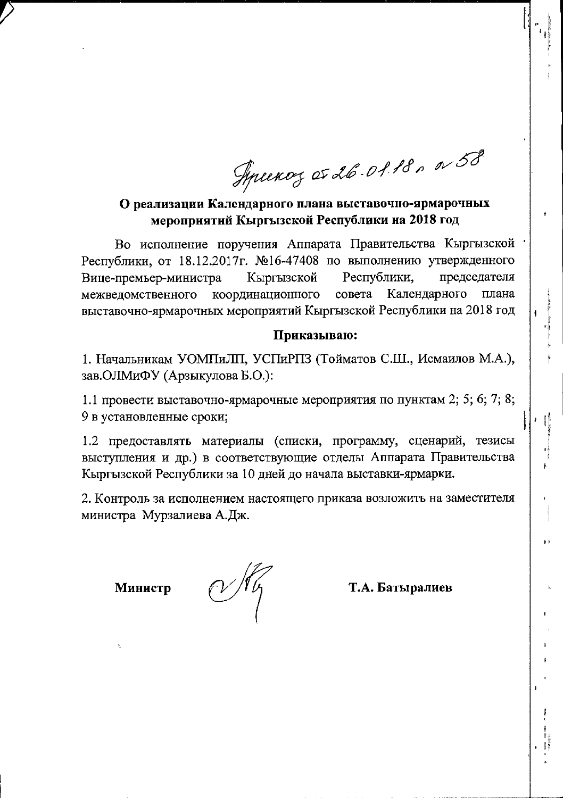Syncency et 26.01.18, a 58

О реализации Календарного плана выставочно-ярмарочных мероприятий Кыргызской Республики на 2018 год

Во исполнение поручения Аппарата Правительства Кыргызской Республики, от 18.12.2017г. №16-47408 по выполнению утвержденного Кыргызской Республики. председателя Вице-премьер-министра межведомственного совета Календарного координационного плана выставочно-ярмарочных мероприятий Кыргызской Республики на 2018 год

### Приказываю:

1. Начальникам УОМПиЛП, УСПиРПЗ (Тойматов С.Ш., Исмаилов М.А.), зав. ОЛМиФУ (Арзыкулова Б.О.):

1.1 провести выставочно-ярмарочные мероприятия по пунктам 2; 5; 6; 7; 8; 9 в установленные сроки;

1.2 предоставлять материалы (списки, программу, сценарий, тезисы выступления и др.) в соответствующие отделы Аппарата Правительства Кыргызской Республики за 10 дней до начала выставки-ярмарки.

2. Контроль за исполнением настоящего приказа возложить на заместителя министра Мурзалиева А.Дж.

Министр

Т.А. Батыралиев